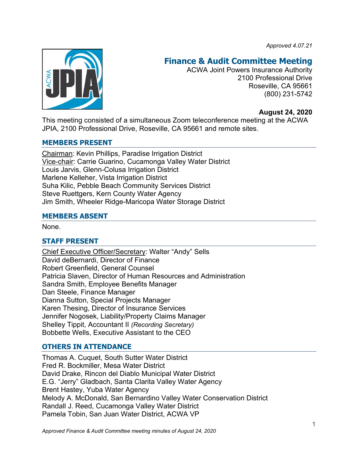*Approved 4.07.21*



# **Finance & Audit Committee Meeting**

ACWA Joint Powers Insurance Authority 2100 Professional Drive Roseville, CA 95661 (800) 231-5742

### **August 24, 2020**

This meeting consisted of a simultaneous Zoom teleconference meeting at the ACWA JPIA, 2100 Professional Drive, Roseville, CA 95661 and remote sites.

#### **MEMBERS PRESENT**

Chairman: Kevin Phillips, Paradise Irrigation District Vice-chair: Carrie Guarino, Cucamonga Valley Water District Louis Jarvis, Glenn-Colusa Irrigation District Marlene Kelleher, Vista Irrigation District Suha Kilic, Pebble Beach Community Services District Steve Ruettgers, Kern County Water Agency Jim Smith, Wheeler Ridge-Maricopa Water Storage District

#### **MEMBERS ABSENT**

None.

### **STAFF PRESENT**

Chief Executive Officer/Secretary: Walter "Andy" Sells David deBernardi, Director of Finance Robert Greenfield, General Counsel Patricia Slaven, Director of Human Resources and Administration Sandra Smith, Employee Benefits Manager Dan Steele, Finance Manager Dianna Sutton, Special Projects Manager Karen Thesing, Director of Insurance Services Jennifer Nogosek, Liability/Property Claims Manager Shelley Tippit, Accountant II *(Recording Secretary)* Bobbette Wells, Executive Assistant to the CEO

### **OTHERS IN ATTENDANCE**

Thomas A. Cuquet, South Sutter Water District Fred R. Bockmiller, Mesa Water District David Drake, Rincon del Diablo Municipal Water District E.G. "Jerry" Gladbach, Santa Clarita Valley Water Agency Brent Hastey, Yuba Water Agency Melody A. McDonald, San Bernardino Valley Water Conservation District Randall J. Reed, Cucamonga Valley Water District Pamela Tobin, San Juan Water District, ACWA VP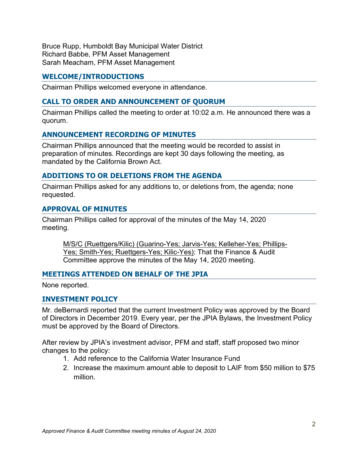Bruce Rupp, Humboldt Bay Municipal Water District Richard Babbe, PFM Asset Management Sarah Meacham, PFM Asset Management

## **WELCOME/INTRODUCTIONS**

Chairman Phillips welcomed everyone in attendance.

## **CALL TO ORDER AND ANNOUNCEMENT OF QUORUM**

Chairman Phillips called the meeting to order at 10:02 a.m. He announced there was a quorum.

### **ANNOUNCEMENT RECORDING OF MINUTES**

Chairman Phillips announced that the meeting would be recorded to assist in preparation of minutes. Recordings are kept 30 days following the meeting, as mandated by the California Brown Act.

### **ADDITIONS TO OR DELETIONS FROM THE AGENDA**

Chairman Phillips asked for any additions to, or deletions from, the agenda; none requested.

#### **APPROVAL OF MINUTES**

Chairman Phillips called for approval of the minutes of the May 14, 2020 meeting.

M/S/C (Ruettgers/Kilic) (Guarino-Yes; Jarvis-Yes; Kelleher-Yes; Phillips-Yes; Smith-Yes; Ruettgers-Yes; Kilic-Yes): That the Finance & Audit Committee approve the minutes of the May 14, 2020 meeting.

### **MEETINGS ATTENDED ON BEHALF OF THE JPIA**

None reported.

### **INVESTMENT POLICY**

Mr. deBernardi reported that the current Investment Policy was approved by the Board of Directors in December 2019. Every year, per the JPIA Bylaws, the Investment Policy must be approved by the Board of Directors.

After review by JPIA's investment advisor, PFM and staff, staff proposed two minor changes to the policy:

- 1. Add reference to the California Water Insurance Fund
- 2. Increase the maximum amount able to deposit to LAIF from \$50 million to \$75 million.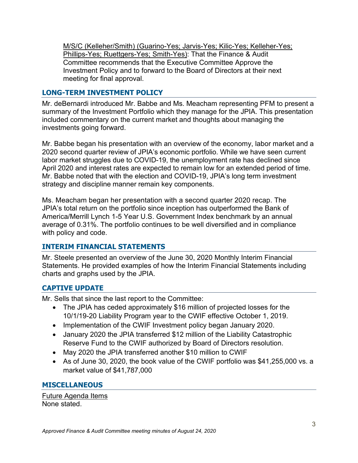M/S/C (Kelleher/Smith) (Guarino-Yes; Jarvis-Yes; Kilic-Yes; Kelleher-Yes; Phillips-Yes; Ruettgers-Yes; Smith-Yes): That the Finance & Audit Committee recommends that the Executive Committee Approve the Investment Policy and to forward to the Board of Directors at their next meeting for final approval.

# **LONG-TERM INVESTMENT POLICY**

Mr. deBernardi introduced Mr. Babbe and Ms. Meacham representing PFM to present a summary of the Investment Portfolio which they manage for the JPIA. This presentation included commentary on the current market and thoughts about managing the investments going forward.

Mr. Babbe began his presentation with an overview of the economy, labor market and a 2020 second quarter review of JPIA's economic portfolio. While we have seen current labor market struggles due to COVID-19, the unemployment rate has declined since April 2020 and interest rates are expected to remain low for an extended period of time. Mr. Babbe noted that with the election and COVID-19, JPIA's long term investment strategy and discipline manner remain key components.

Ms. Meacham began her presentation with a second quarter 2020 recap. The JPIA's total return on the portfolio since inception has outperformed the Bank of America/Merrill Lynch 1-5 Year U.S. Government Index benchmark by an annual average of 0.31%. The portfolio continues to be well diversified and in compliance with policy and code.

# **INTERIM FINANCIAL STATEMENTS**

Mr. Steele presented an overview of the June 30, 2020 Monthly Interim Financial Statements. He provided examples of how the Interim Financial Statements including charts and graphs used by the JPIA.

# **CAPTIVE UPDATE**

Mr. Sells that since the last report to the Committee:

- The JPIA has ceded approximately \$16 million of projected losses for the 10/1/19-20 Liability Program year to the CWIF effective October 1, 2019.
- Implementation of the CWIF Investment policy began January 2020.
- January 2020 the JPIA transferred \$12 million of the Liability Catastrophic Reserve Fund to the CWIF authorized by Board of Directors resolution.
- May 2020 the JPIA transferred another \$10 million to CWIF
- As of June 30, 2020, the book value of the CWIF portfolio was \$41,255,000 vs. a market value of \$41,787,000

# **MISCELLANEOUS**

Future Agenda Items None stated.